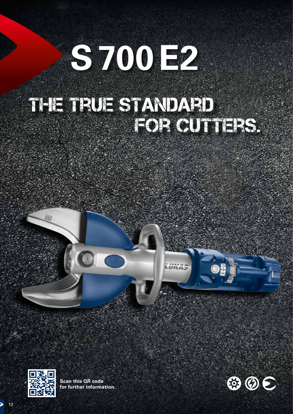# **S700E2**

## THE TRUE STANDARD **FOR CUTTERS.**

**UKAS** 



89

**Scan this QR code for further information.**